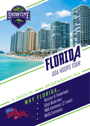